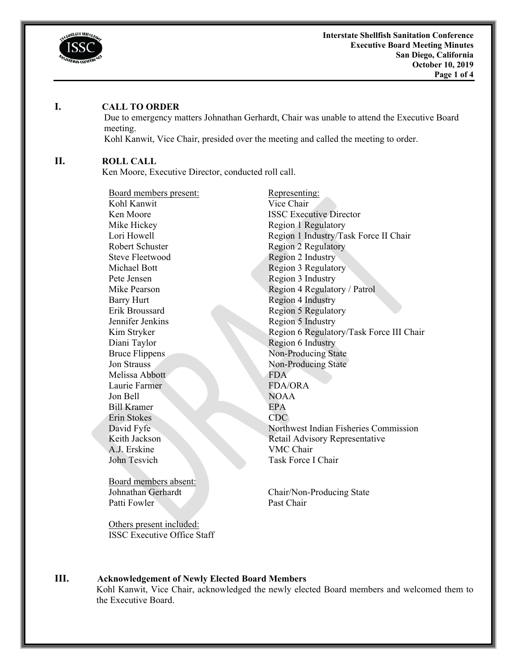

#### **I. CALL TO ORDER**

Due to emergency matters Johnathan Gerhardt, Chair was unable to attend the Executive Board meeting.

Kohl Kanwit, Vice Chair, presided over the meeting and called the meeting to order.

#### **II. ROLL CALL**

Ken Moore, Executive Director, conducted roll call.

Board members present: Representing: Kohl Kanwit Vice Chair Mike Hickey Region 1 Regulatory Robert Schuster Region 2 Regulatory Steve Fleetwood Region 2 Industry Michael Bott Region 3 Regulatory Pete Jensen Region 3 Industry Barry Hurt Region 4 Industry Erik Broussard Region 5 Regulatory Jennifer Jenkins Region 5 Industry Diani Taylor Region 6 Industry Bruce Flippens Non-Producing State Jon Strauss Non-Producing State Melissa Abbott FDA Laurie Farmer FDA/ORA Jon Bell NOAA Bill Kramer EPA Erin Stokes CDC A.J. Erskine VMC Chair John Tesvich Task Force I Chair

Board members absent: Patti Fowler

Others present included: ISSC Executive Office Staff

**Ken Moore ISSC Executive Director** Lori Howell Region 1 Industry/Task Force II Chair Mike Pearson Region 4 Regulatory / Patrol Kim Stryker Region 6 Regulatory/Task Force III Chair David Fyfe Northwest Indian Fisheries Commission Keith Jackson Retail Advisory Representative

Johnathan Gerhardt Chair/Non-Producing State Past Chair

# **III. Acknowledgement of Newly Elected Board Members**

Kohl Kanwit, Vice Chair, acknowledged the newly elected Board members and welcomed them to the Executive Board.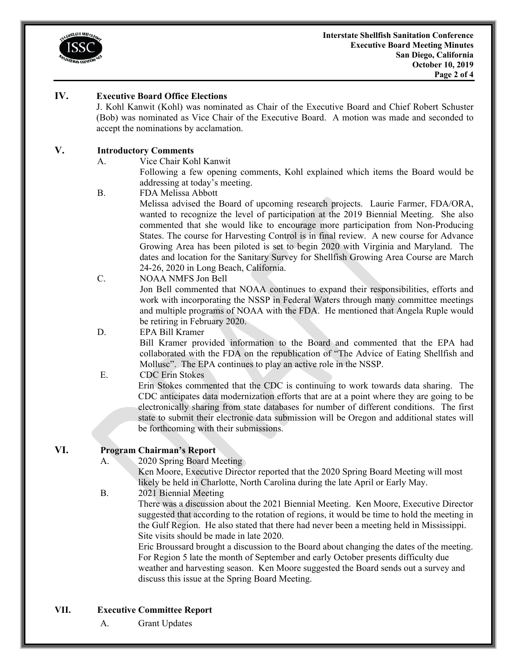

#### **IV. Executive Board Office Elections**

J. Kohl Kanwit (Kohl) was nominated as Chair of the Executive Board and Chief Robert Schuster (Bob) was nominated as Vice Chair of the Executive Board. A motion was made and seconded to accept the nominations by acclamation.

# **V. Introductory Comments**

A. Vice Chair Kohl Kanwit

 Following a few opening comments, Kohl explained which items the Board would be addressing at today's meeting.

B. FDA Melissa Abbott

Melissa advised the Board of upcoming research projects. Laurie Farmer, FDA/ORA, wanted to recognize the level of participation at the 2019 Biennial Meeting. She also commented that she would like to encourage more participation from Non-Producing States. The course for Harvesting Control is in final review. A new course for Advance Growing Area has been piloted is set to begin 2020 with Virginia and Maryland. The dates and location for the Sanitary Survey for Shellfish Growing Area Course are March 24-26, 2020 in Long Beach, California.

C. NOAA NMFS Jon Bell

Jon Bell commented that NOAA continues to expand their responsibilities, efforts and work with incorporating the NSSP in Federal Waters through many committee meetings and multiple programs of NOAA with the FDA. He mentioned that Angela Ruple would be retiring in February 2020.

# D. EPA Bill Kramer

Bill Kramer provided information to the Board and commented that the EPA had collaborated with the FDA on the republication of "The Advice of Eating Shellfish and Mollusc". The EPA continues to play an active role in the NSSP.

## E. CDC Erin Stokes

Erin Stokes commented that the CDC is continuing to work towards data sharing. The CDC anticipates data modernization efforts that are at a point where they are going to be electronically sharing from state databases for number of different conditions. The first state to submit their electronic data submission will be Oregon and additional states will be forthcoming with their submissions.

# **VI. Program Chairman's Report**

A. 2020 Spring Board Meeting

Ken Moore, Executive Director reported that the 2020 Spring Board Meeting will most likely be held in Charlotte, North Carolina during the late April or Early May.

## B. 2021 Biennial Meeting

 There was a discussion about the 2021 Biennial Meeting. Ken Moore, Executive Director suggested that according to the rotation of regions, it would be time to hold the meeting in the Gulf Region. He also stated that there had never been a meeting held in Mississippi. Site visits should be made in late 2020.

Eric Broussard brought a discussion to the Board about changing the dates of the meeting. For Region 5 late the month of September and early October presents difficulty due weather and harvesting season. Ken Moore suggested the Board sends out a survey and discuss this issue at the Spring Board Meeting.

- **VII. Executive Committee Report** 
	- A. Grant Updates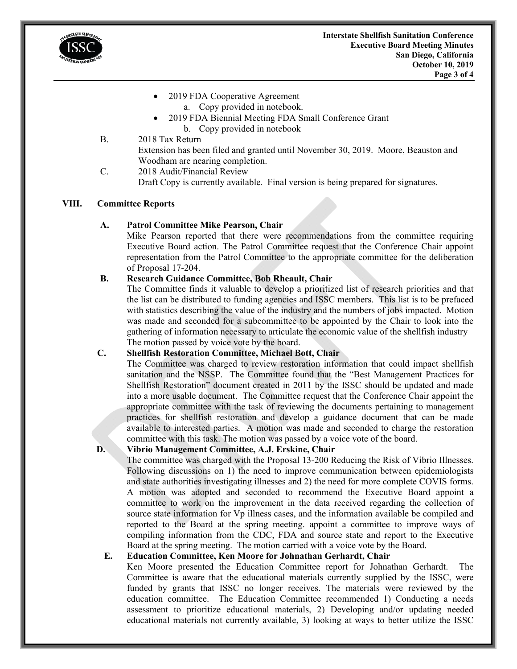

- 2019 FDA Cooperative Agreement
	- a. Copy provided in notebook.
- 2019 FDA Biennial Meeting FDA Small Conference Grant b. Copy provided in notebook
- B. 2018 Tax Return

Extension has been filed and granted until November 30, 2019. Moore, Beauston and Woodham are nearing completion.

C. 2018 Audit/Financial Review Draft Copy is currently available. Final version is being prepared for signatures.

#### **VIII. Committee Reports**

## **A. Patrol Committee Mike Pearson, Chair**

Mike Pearson reported that there were recommendations from the committee requiring Executive Board action. The Patrol Committee request that the Conference Chair appoint representation from the Patrol Committee to the appropriate committee for the deliberation of Proposal 17-204.

## **B. Research Guidance Committee, Bob Rheault, Chair**

 The Committee finds it valuable to develop a prioritized list of research priorities and that the list can be distributed to funding agencies and ISSC members. This list is to be prefaced with statistics describing the value of the industry and the numbers of jobs impacted. Motion was made and seconded for a subcommittee to be appointed by the Chair to look into the gathering of information necessary to articulate the economic value of the shellfish industry The motion passed by voice vote by the board.

## **C. Shellfish Restoration Committee, Michael Bott, Chair**

The Committee was charged to review restoration information that could impact shellfish sanitation and the NSSP. The Committee found that the "Best Management Practices for Shellfish Restoration" document created in 2011 by the ISSC should be updated and made into a more usable document. The Committee request that the Conference Chair appoint the appropriate committee with the task of reviewing the documents pertaining to management practices for shellfish restoration and develop a guidance document that can be made available to interested parties. A motion was made and seconded to charge the restoration committee with this task. The motion was passed by a voice vote of the board.

## **D. Vibrio Management Committee, A.J. Erskine, Chair**

The committee was charged with the Proposal 13-200 Reducing the Risk of Vibrio Illnesses. Following discussions on 1) the need to improve communication between epidemiologists and state authorities investigating illnesses and 2) the need for more complete COVIS forms. A motion was adopted and seconded to recommend the Executive Board appoint a committee to work on the improvement in the data received regarding the collection of source state information for Vp illness cases, and the information available be compiled and reported to the Board at the spring meeting. appoint a committee to improve ways of compiling information from the CDC, FDA and source state and report to the Executive Board at the spring meeting. The motion carried with a voice vote by the Board.

## **E. Education Committee, Ken Moore for Johnathan Gerhardt, Chair**

Ken Moore presented the Education Committee report for Johnathan Gerhardt. The Committee is aware that the educational materials currently supplied by the ISSC, were funded by grants that ISSC no longer receives. The materials were reviewed by the education committee. The Education Committee recommended 1) Conducting a needs assessment to prioritize educational materials, 2) Developing and/or updating needed educational materials not currently available, 3) looking at ways to better utilize the ISSC